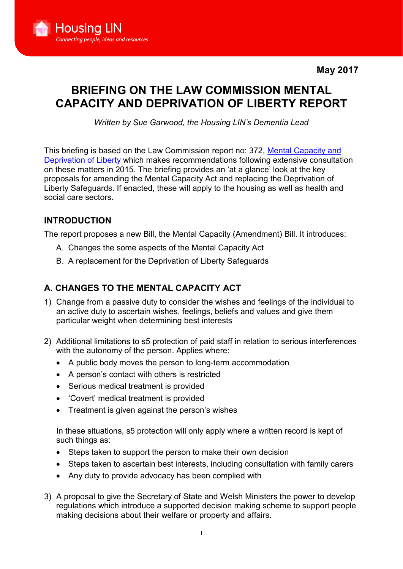May 2017



# BRIEFING ON THE LAW COMMISSION MENTAL CAPACITY AND DEPRIVATION OF LIBERTY REPORT

*Written by Sue Garwood, the Housing LIN's Dementia Lead*

This briefing is based on the Law Commission report no: 372, [Mental Capacity and](https://www.housinglin.org.uk/Topics/browse/HousingandDementia/Legislation/DoL/)  [Deprivation of Liberty](https://www.housinglin.org.uk/Topics/browse/HousingandDementia/Legislation/DoL/) which makes recommendations following extensive consultation on these matters in 2015. The briefing provides an 'at a glance' look at the key proposals for amending the Mental Capacity Act and replacing the Deprivation of Liberty Safeguards. If enacted, these will apply to the housing as well as health and social care sectors.

## INTRODUCTION

The report proposes a new Bill, the Mental Capacity (Amendment) Bill. It introduces:

- A. Changes the some aspects of the Mental Capacity Act
- B. A replacement for the Deprivation of Liberty Safeguards

# A. CHANGES TO THE MENTAL CAPACITY ACT

- 1) Change from a passive duty to consider the wishes and feelings of the individual to an active duty to ascertain wishes, feelings, beliefs and values and give them particular weight when determining best interests
- 2) Additional limitations to s5 protection of paid staff in relation to serious interferences with the autonomy of the person. Applies where:
	- A public body moves the person to long-term accommodation
	- A person's contact with others is restricted
	- Serious medical treatment is provided
	- 'Covert' medical treatment is provided
	- Treatment is given against the person's wishes

In these situations, s5 protection will only apply where a written record is kept of such things as:

- Steps taken to support the person to make their own decision
- Steps taken to ascertain best interests, including consultation with family carers
- Any duty to provide advocacy has been complied with
- 3) A proposal to give the Secretary of State and Welsh Ministers the power to develop regulations which introduce a supported decision making scheme to support people making decisions about their welfare or property and affairs.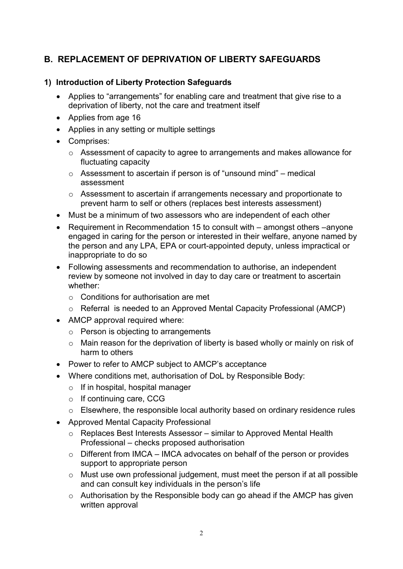# B. REPLACEMENT OF DEPRIVATION OF LIBERTY SAFEGUARDS

#### 1) Introduction of Liberty Protection Safeguards

- Applies to "arrangements" for enabling care and treatment that give rise to a deprivation of liberty, not the care and treatment itself
- Applies from age 16
- Applies in any setting or multiple settings
- Comprises:
	- o Assessment of capacity to agree to arrangements and makes allowance for fluctuating capacity
	- $\circ$  Assessment to ascertain if person is of "unsound mind" medical assessment
	- o Assessment to ascertain if arrangements necessary and proportionate to prevent harm to self or others (replaces best interests assessment)
- Must be a minimum of two assessors who are independent of each other
- Requirement in Recommendation 15 to consult with amongst others –anyone engaged in caring for the person or interested in their welfare, anyone named by the person and any LPA, EPA or court-appointed deputy, unless impractical or inappropriate to do so
- Following assessments and recommendation to authorise, an independent review by someone not involved in day to day care or treatment to ascertain whether:
	- o Conditions for authorisation are met
	- o Referral is needed to an Approved Mental Capacity Professional (AMCP)
- AMCP approval required where:
	- $\circ$  Person is objecting to arrangements
	- $\circ$  Main reason for the deprivation of liberty is based wholly or mainly on risk of harm to others
- Power to refer to AMCP subject to AMCP's acceptance
- Where conditions met, authorisation of DoL by Responsible Body:
	- $\circ$  If in hospital, hospital manager
	- o If continuing care, CCG
	- o Elsewhere, the responsible local authority based on ordinary residence rules
- Approved Mental Capacity Professional
	- $\circ$  Replaces Best Interests Assessor similar to Approved Mental Health Professional – checks proposed authorisation
	- $\circ$  Different from IMCA IMCA advocates on behalf of the person or provides support to appropriate person
	- o Must use own professional judgement, must meet the person if at all possible and can consult key individuals in the person's life
	- o Authorisation by the Responsible body can go ahead if the AMCP has given written approval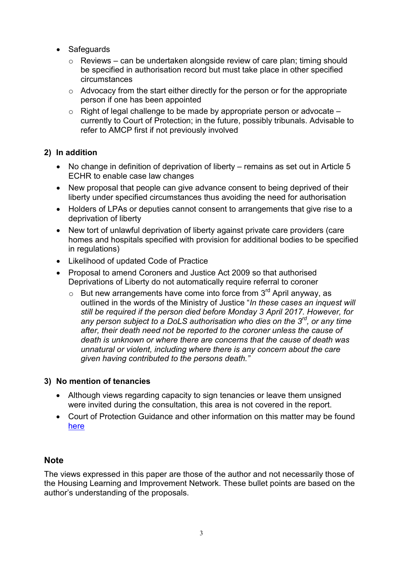- **Safeguards** 
	- $\circ$  Reviews can be undertaken alongside review of care plan; timing should be specified in authorisation record but must take place in other specified circumstances
	- $\circ$  Advocacy from the start either directly for the person or for the appropriate person if one has been appointed
	- $\circ$  Right of legal challenge to be made by appropriate person or advocate  $$ currently to Court of Protection; in the future, possibly tribunals. Advisable to refer to AMCP first if not previously involved

#### 2) In addition

- No change in definition of deprivation of liberty remains as set out in Article 5 ECHR to enable case law changes
- New proposal that people can give advance consent to being deprived of their liberty under specified circumstances thus avoiding the need for authorisation
- Holders of LPAs or deputies cannot consent to arrangements that give rise to a deprivation of liberty
- New tort of unlawful deprivation of liberty against private care providers (care homes and hospitals specified with provision for additional bodies to be specified in regulations)
- Likelihood of updated Code of Practice
- Proposal to amend Coroners and Justice Act 2009 so that authorised Deprivations of Liberty do not automatically require referral to coroner
	- $\circ$  But new arrangements have come into force from 3<sup>rd</sup> April anyway, as outlined in the words of the Ministry of Justice "*In these cases an inquest will still be required if the person died before Monday 3 April 2017. However, for any person subject to a DoLS authorisation who dies on the 3rd, or any time after, their death need not be reported to the coroner unless the cause of death is unknown or where there are concerns that the cause of death was unnatural or violent, including where there is any concern about the care given having contributed to the persons death."*

#### 3) No mention of tenancies

- Although views regarding capacity to sign tenancies or leave them unsigned were invited during the consultation, this area is not covered in the report.
- Court of Protection Guidance and other information on this matter may be found [here](https://www.housinglin.org.uk/Topics/type/Mental-Capacity-Act-and-tenancies/)

## **Note**

The views expressed in this paper are those of the author and not necessarily those of the Housing Learning and Improvement Network. These bullet points are based on the author's understanding of the proposals.